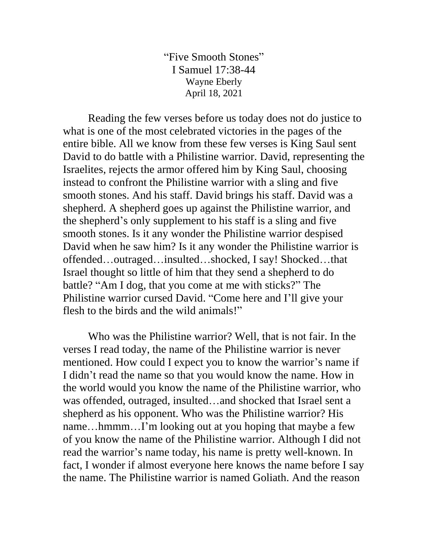"Five Smooth Stones" I Samuel 17:38-44 Wayne Eberly April 18, 2021

Reading the few verses before us today does not do justice to what is one of the most celebrated victories in the pages of the entire bible. All we know from these few verses is King Saul sent David to do battle with a Philistine warrior. David, representing the Israelites, rejects the armor offered him by King Saul, choosing instead to confront the Philistine warrior with a sling and five smooth stones. And his staff. David brings his staff. David was a shepherd. A shepherd goes up against the Philistine warrior, and the shepherd's only supplement to his staff is a sling and five smooth stones. Is it any wonder the Philistine warrior despised David when he saw him? Is it any wonder the Philistine warrior is offended…outraged…insulted…shocked, I say! Shocked…that Israel thought so little of him that they send a shepherd to do battle? "Am I dog, that you come at me with sticks?" The Philistine warrior cursed David. "Come here and I'll give your flesh to the birds and the wild animals!"

Who was the Philistine warrior? Well, that is not fair. In the verses I read today, the name of the Philistine warrior is never mentioned. How could I expect you to know the warrior's name if I didn't read the name so that you would know the name. How in the world would you know the name of the Philistine warrior, who was offended, outraged, insulted…and shocked that Israel sent a shepherd as his opponent. Who was the Philistine warrior? His name…hmmm…I'm looking out at you hoping that maybe a few of you know the name of the Philistine warrior. Although I did not read the warrior's name today, his name is pretty well-known. In fact, I wonder if almost everyone here knows the name before I say the name. The Philistine warrior is named Goliath. And the reason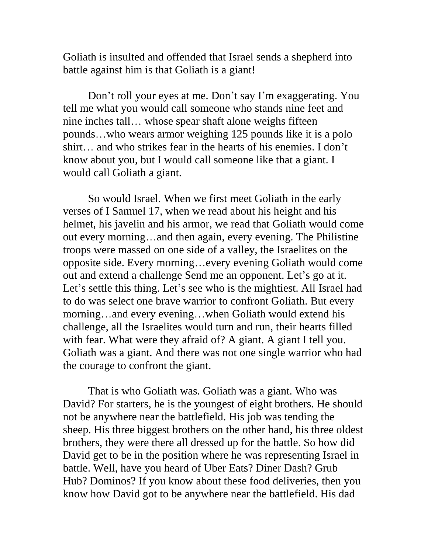Goliath is insulted and offended that Israel sends a shepherd into battle against him is that Goliath is a giant!

Don't roll your eyes at me. Don't say I'm exaggerating. You tell me what you would call someone who stands nine feet and nine inches tall… whose spear shaft alone weighs fifteen pounds…who wears armor weighing 125 pounds like it is a polo shirt… and who strikes fear in the hearts of his enemies. I don't know about you, but I would call someone like that a giant. I would call Goliath a giant.

So would Israel. When we first meet Goliath in the early verses of I Samuel 17, when we read about his height and his helmet, his javelin and his armor, we read that Goliath would come out every morning…and then again, every evening. The Philistine troops were massed on one side of a valley, the Israelites on the opposite side. Every morning…every evening Goliath would come out and extend a challenge Send me an opponent. Let's go at it. Let's settle this thing. Let's see who is the mightiest. All Israel had to do was select one brave warrior to confront Goliath. But every morning…and every evening…when Goliath would extend his challenge, all the Israelites would turn and run, their hearts filled with fear. What were they afraid of? A giant. A giant I tell you. Goliath was a giant. And there was not one single warrior who had the courage to confront the giant.

That is who Goliath was. Goliath was a giant. Who was David? For starters, he is the youngest of eight brothers. He should not be anywhere near the battlefield. His job was tending the sheep. His three biggest brothers on the other hand, his three oldest brothers, they were there all dressed up for the battle. So how did David get to be in the position where he was representing Israel in battle. Well, have you heard of Uber Eats? Diner Dash? Grub Hub? Dominos? If you know about these food deliveries, then you know how David got to be anywhere near the battlefield. His dad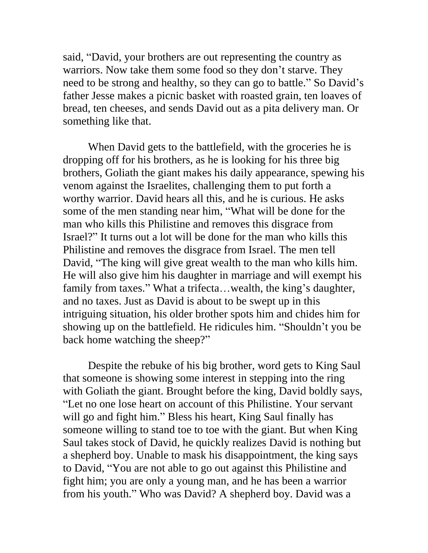said, "David, your brothers are out representing the country as warriors. Now take them some food so they don't starve. They need to be strong and healthy, so they can go to battle." So David's father Jesse makes a picnic basket with roasted grain, ten loaves of bread, ten cheeses, and sends David out as a pita delivery man. Or something like that.

When David gets to the battlefield, with the groceries he is dropping off for his brothers, as he is looking for his three big brothers, Goliath the giant makes his daily appearance, spewing his venom against the Israelites, challenging them to put forth a worthy warrior. David hears all this, and he is curious. He asks some of the men standing near him, "What will be done for the man who kills this Philistine and removes this disgrace from Israel?" It turns out a lot will be done for the man who kills this Philistine and removes the disgrace from Israel. The men tell David, "The king will give great wealth to the man who kills him. He will also give him his daughter in marriage and will exempt his family from taxes." What a trifecta...wealth, the king's daughter, and no taxes. Just as David is about to be swept up in this intriguing situation, his older brother spots him and chides him for showing up on the battlefield. He ridicules him. "Shouldn't you be back home watching the sheep?"

Despite the rebuke of his big brother, word gets to King Saul that someone is showing some interest in stepping into the ring with Goliath the giant. Brought before the king, David boldly says, "Let no one lose heart on account of this Philistine. Your servant will go and fight him." Bless his heart, King Saul finally has someone willing to stand toe to toe with the giant. But when King Saul takes stock of David, he quickly realizes David is nothing but a shepherd boy. Unable to mask his disappointment, the king says to David, "You are not able to go out against this Philistine and fight him; you are only a young man, and he has been a warrior from his youth." Who was David? A shepherd boy. David was a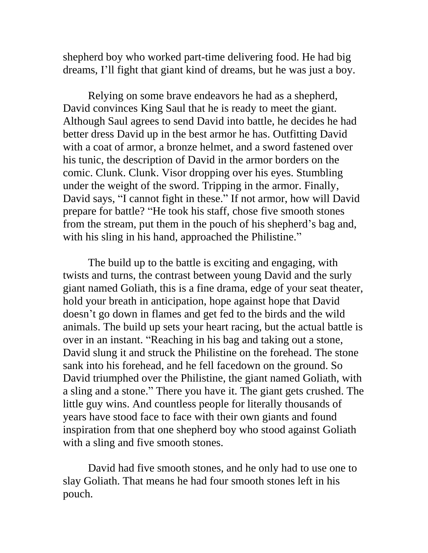shepherd boy who worked part-time delivering food. He had big dreams, I'll fight that giant kind of dreams, but he was just a boy.

Relying on some brave endeavors he had as a shepherd, David convinces King Saul that he is ready to meet the giant. Although Saul agrees to send David into battle, he decides he had better dress David up in the best armor he has. Outfitting David with a coat of armor, a bronze helmet, and a sword fastened over his tunic, the description of David in the armor borders on the comic. Clunk. Clunk. Visor dropping over his eyes. Stumbling under the weight of the sword. Tripping in the armor. Finally, David says, "I cannot fight in these." If not armor, how will David prepare for battle? "He took his staff, chose five smooth stones from the stream, put them in the pouch of his shepherd's bag and, with his sling in his hand, approached the Philistine."

The build up to the battle is exciting and engaging, with twists and turns, the contrast between young David and the surly giant named Goliath, this is a fine drama, edge of your seat theater, hold your breath in anticipation, hope against hope that David doesn't go down in flames and get fed to the birds and the wild animals. The build up sets your heart racing, but the actual battle is over in an instant. "Reaching in his bag and taking out a stone, David slung it and struck the Philistine on the forehead. The stone sank into his forehead, and he fell facedown on the ground. So David triumphed over the Philistine, the giant named Goliath, with a sling and a stone." There you have it. The giant gets crushed. The little guy wins. And countless people for literally thousands of years have stood face to face with their own giants and found inspiration from that one shepherd boy who stood against Goliath with a sling and five smooth stones.

David had five smooth stones, and he only had to use one to slay Goliath. That means he had four smooth stones left in his pouch.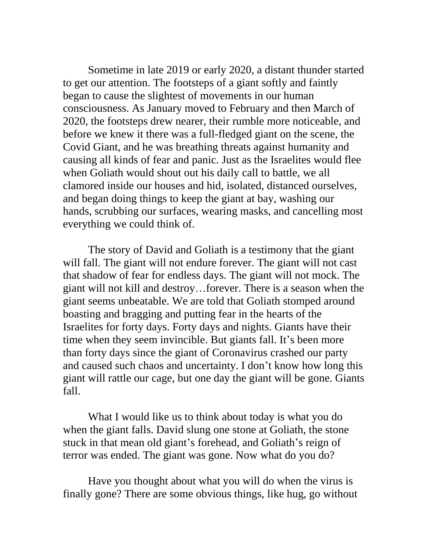Sometime in late 2019 or early 2020, a distant thunder started to get our attention. The footsteps of a giant softly and faintly began to cause the slightest of movements in our human consciousness. As January moved to February and then March of 2020, the footsteps drew nearer, their rumble more noticeable, and before we knew it there was a full-fledged giant on the scene, the Covid Giant, and he was breathing threats against humanity and causing all kinds of fear and panic. Just as the Israelites would flee when Goliath would shout out his daily call to battle, we all clamored inside our houses and hid, isolated, distanced ourselves, and began doing things to keep the giant at bay, washing our hands, scrubbing our surfaces, wearing masks, and cancelling most everything we could think of.

The story of David and Goliath is a testimony that the giant will fall. The giant will not endure forever. The giant will not cast that shadow of fear for endless days. The giant will not mock. The giant will not kill and destroy…forever. There is a season when the giant seems unbeatable. We are told that Goliath stomped around boasting and bragging and putting fear in the hearts of the Israelites for forty days. Forty days and nights. Giants have their time when they seem invincible. But giants fall. It's been more than forty days since the giant of Coronavirus crashed our party and caused such chaos and uncertainty. I don't know how long this giant will rattle our cage, but one day the giant will be gone. Giants fall.

What I would like us to think about today is what you do when the giant falls. David slung one stone at Goliath, the stone stuck in that mean old giant's forehead, and Goliath's reign of terror was ended. The giant was gone. Now what do you do?

Have you thought about what you will do when the virus is finally gone? There are some obvious things, like hug, go without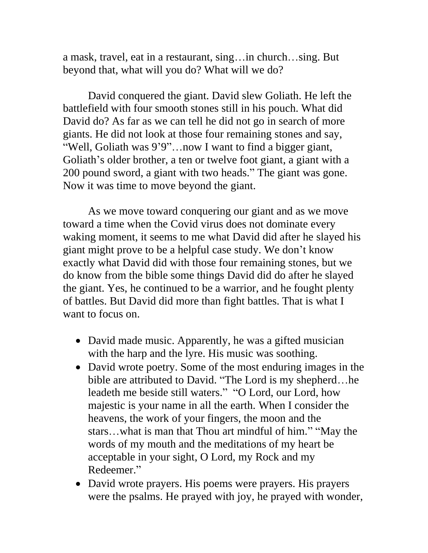a mask, travel, eat in a restaurant, sing…in church…sing. But beyond that, what will you do? What will we do?

David conquered the giant. David slew Goliath. He left the battlefield with four smooth stones still in his pouch. What did David do? As far as we can tell he did not go in search of more giants. He did not look at those four remaining stones and say, "Well, Goliath was 9'9"…now I want to find a bigger giant, Goliath's older brother, a ten or twelve foot giant, a giant with a 200 pound sword, a giant with two heads." The giant was gone. Now it was time to move beyond the giant.

As we move toward conquering our giant and as we move toward a time when the Covid virus does not dominate every waking moment, it seems to me what David did after he slayed his giant might prove to be a helpful case study. We don't know exactly what David did with those four remaining stones, but we do know from the bible some things David did do after he slayed the giant. Yes, he continued to be a warrior, and he fought plenty of battles. But David did more than fight battles. That is what I want to focus on.

- David made music. Apparently, he was a gifted musician with the harp and the lyre. His music was soothing.
- David wrote poetry. Some of the most enduring images in the bible are attributed to David. "The Lord is my shepherd…he leadeth me beside still waters." "O Lord, our Lord, how majestic is your name in all the earth. When I consider the heavens, the work of your fingers, the moon and the stars…what is man that Thou art mindful of him." "May the words of my mouth and the meditations of my heart be acceptable in your sight, O Lord, my Rock and my Redeemer."
- David wrote prayers. His poems were prayers. His prayers were the psalms. He prayed with joy, he prayed with wonder,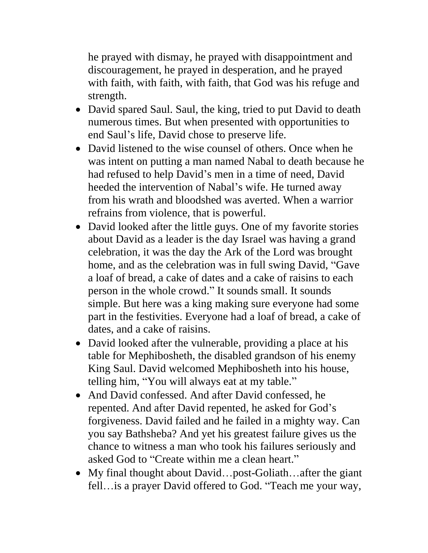he prayed with dismay, he prayed with disappointment and discouragement, he prayed in desperation, and he prayed with faith, with faith, with faith, that God was his refuge and strength.

- David spared Saul. Saul, the king, tried to put David to death numerous times. But when presented with opportunities to end Saul's life, David chose to preserve life.
- David listened to the wise counsel of others. Once when he was intent on putting a man named Nabal to death because he had refused to help David's men in a time of need, David heeded the intervention of Nabal's wife. He turned away from his wrath and bloodshed was averted. When a warrior refrains from violence, that is powerful.
- David looked after the little guys. One of my favorite stories about David as a leader is the day Israel was having a grand celebration, it was the day the Ark of the Lord was brought home, and as the celebration was in full swing David, "Gave a loaf of bread, a cake of dates and a cake of raisins to each person in the whole crowd." It sounds small. It sounds simple. But here was a king making sure everyone had some part in the festivities. Everyone had a loaf of bread, a cake of dates, and a cake of raisins.
- David looked after the vulnerable, providing a place at his table for Mephibosheth, the disabled grandson of his enemy King Saul. David welcomed Mephibosheth into his house, telling him, "You will always eat at my table."
- And David confessed. And after David confessed, he repented. And after David repented, he asked for God's forgiveness. David failed and he failed in a mighty way. Can you say Bathsheba? And yet his greatest failure gives us the chance to witness a man who took his failures seriously and asked God to "Create within me a clean heart."
- My final thought about David…post-Goliath…after the giant fell…is a prayer David offered to God. "Teach me your way,